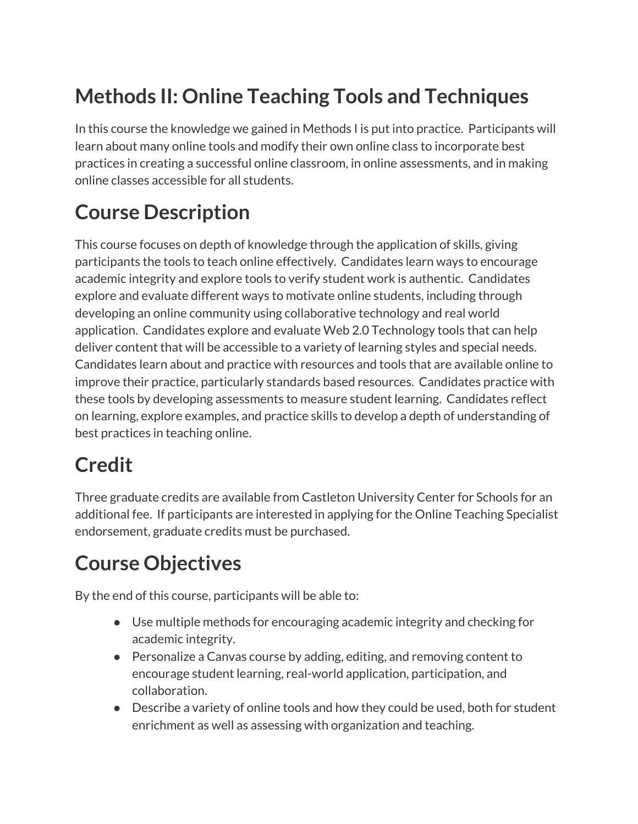# **Methods II: Online Teaching Tools and Techniques**

In this course the knowledge we gained in Methods I is put into practice. Participants will learn about many online tools and modify their own online class to incorporate best practices in creating a successful online classroom, in online assessments, and in making online classes accessible for all students.

## **Course Description**

This course focuses on depth of knowledge through the application of skills, giving participants the tools to teach online effectively. Candidates learn ways to encourage academic integrity and explore tools to verify student work is authentic. Candidates explore and evaluate different ways to motivate online students, including through developing an online community using collaborative technology and real world application. Candidates explore and evaluate Web 2.0 Technology tools that can help deliver content that will be accessible to a variety of learning styles and special needs. Candidates learn about and practice with resources and tools that are available online to improve their practice, particularly standards based resources. Candidates practice with these tools by developing assessments to measure student learning. Candidates reflect on learning, explore examples, and practice skills to develop a depth of understanding of best practices in teaching online.

# **Credit**

Three graduate credits are available from Castleton University Center for Schools for an additional fee. If participants are interested in applying for the Online Teaching Specialist endorsement, graduate credits must be purchased.

# **Course Objectives**

By the end of this course, participants will be able to:

- Use multiple methods for encouraging academic integrity and checking for academic integrity.
- Personalize a Canvas course by adding, editing, and removing content to encourage student learning, real-world application, participation, and collaboration.
- Describe a variety of online tools and how they could be used, both for student enrichment as well as assessing with organization and teaching.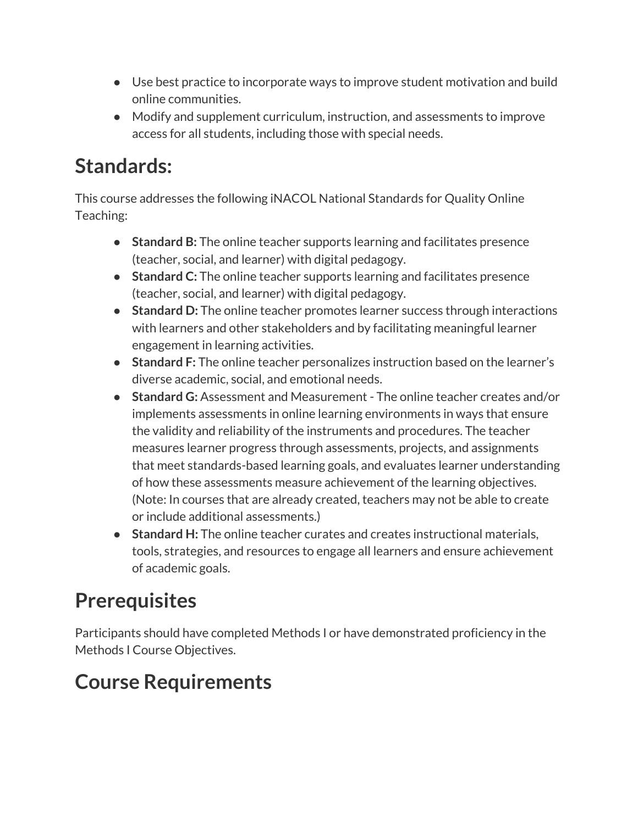- Use best practice to incorporate ways to improve student motivation and build online communities.
- Modify and supplement curriculum, instruction, and assessments to improve access for all students, including those with special needs.

## **Standards:**

This course addresses the following iNACOL National Standards for Quality Online Teaching:

- **Standard B:** The online teacher supports learning and facilitates presence (teacher, social, and learner) with digital pedagogy.
- **Standard C:** The online teacher supports learning and facilitates presence (teacher, social, and learner) with digital pedagogy.
- **Standard D:** The online teacher promotes learner success through interactions with learners and other stakeholders and by facilitating meaningful learner engagement in learning activities.
- **Standard F:** The online teacher personalizes instruction based on the learner's diverse academic, social, and emotional needs.
- **Standard G:** Assessment and Measurement The online teacher creates and/or implements assessments in online learning environments in ways that ensure the validity and reliability of the instruments and procedures. The teacher measures learner progress through assessments, projects, and assignments that meet standards-based learning goals, and evaluates learner understanding of how these assessments measure achievement of the learning objectives. (Note: In courses that are already created, teachers may not be able to create or include additional assessments.)
- **Standard H:** The online teacher curates and creates instructional materials, tools, strategies, and resources to engage all learners and ensure achievement of academic goals.

# **Prerequisites**

Participants should have completed Methods I or have demonstrated proficiency in the Methods I Course Objectives.

# **Course Requirements**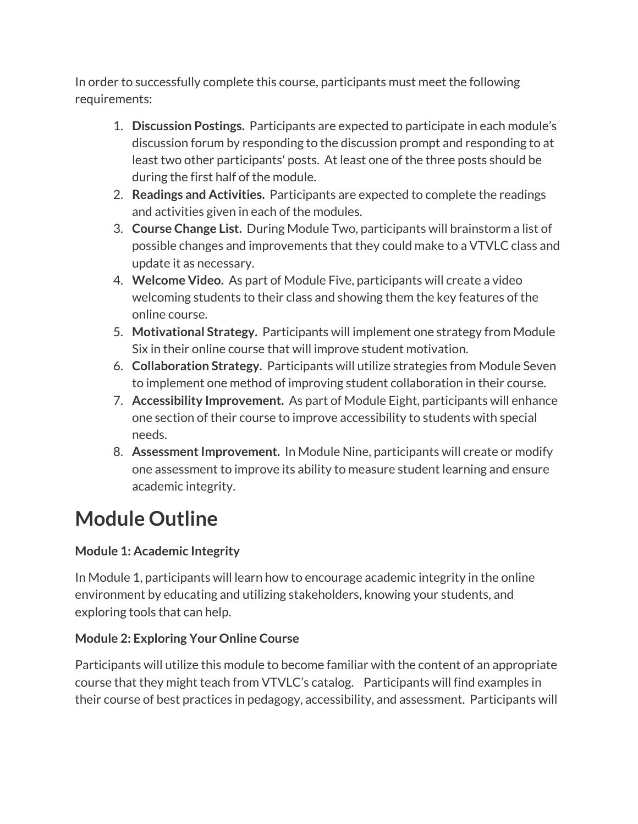In order to successfully complete this course, participants must meet the following requirements:

- 1. **Discussion Postings.** Participants are expected to participate in each module's discussion forum by responding to the discussion prompt and responding to at least two other participants' posts. At least one of the three posts should be during the first half of the module.
- 2. **Readings and Activities.** Participants are expected to complete the readings and activities given in each of the modules.
- 3. **Course Change List.** During Module Two, participants will brainstorm a list of possible changes and improvements that they could make to a VTVLC class and update it as necessary.
- 4. **Welcome Video.** As part of Module Five, participants will create a video welcoming students to their class and showing them the key features of the online course.
- 5. **Motivational Strategy.** Participants will implement one strategy from Module Six in their online course that will improve student motivation.
- 6. **Collaboration Strategy.** Participants will utilize strategies from Module Seven to implement one method of improving student collaboration in their course.
- 7. **Accessibility Improvement.** As part of Module Eight, participants will enhance one section of their course to improve accessibility to students with special needs.
- 8. **AssessmentImprovement.** In Module Nine, participants will create or modify one assessment to improve its ability to measure student learning and ensure academic integrity.

# **Module Outline**

### **Module 1: Academic Integrity**

In Module 1, participants will learn how to encourage academic integrity in the online environment by educating and utilizing stakeholders, knowing your students, and exploring tools that can help.

### **Module 2: Exploring Your Online Course**

Participants will utilize this module to become familiar with the content of an appropriate course that they might teach from VTVLC's catalog. Participants will find examples in their course of best practices in pedagogy, accessibility, and assessment. Participants will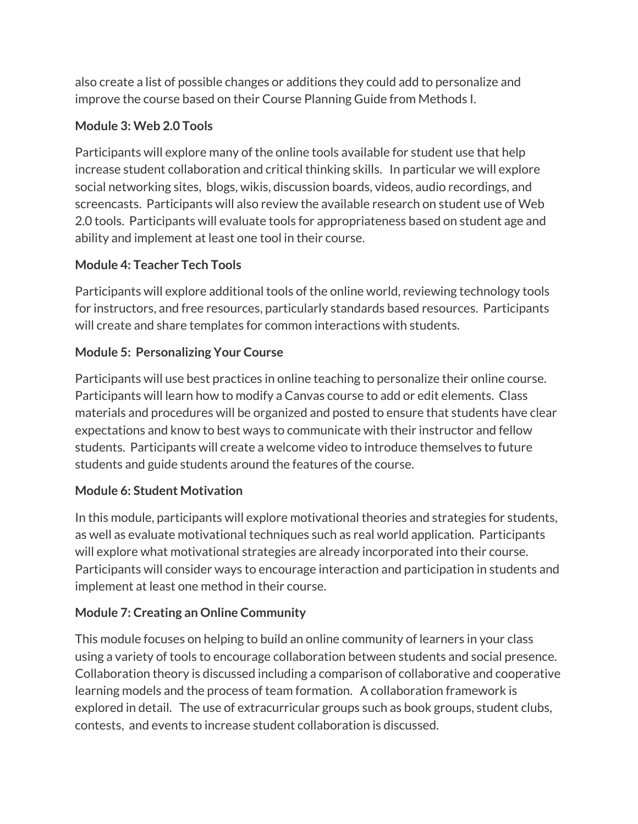also create a list of possible changes or additions they could add to personalize and improve the course based on their Course Planning Guide from Methods I.

#### **Module 3: Web 2.0 Tools**

Participants will explore many of the online tools available for student use that help increase student collaboration and critical thinking skills. In particular we will explore social networking sites, blogs, wikis, discussion boards, videos, audio recordings, and screencasts. Participants will also review the available research on student use of Web 2.0 tools. Participants will evaluate tools for appropriateness based on student age and ability and implement at least one tool in their course.

### **Module 4: Teacher Tech Tools**

Participants will explore additional tools of the online world, reviewing technology tools for instructors, and free resources, particularly standards based resources. Participants will create and share templates for common interactions with students.

### **Module 5: Personalizing Your Course**

Participants will use best practices in online teaching to personalize their online course. Participants will learn how to modify a Canvas course to add or edit elements. Class materials and procedures will be organized and posted to ensure that students have clear expectations and know to best ways to communicate with their instructor and fellow students. Participants will create a welcome video to introduce themselves to future students and guide students around the features of the course.

#### **Module 6: Student Motivation**

In this module, participants will explore motivational theories and strategies for students, as well as evaluate motivational techniques such as real world application. Participants will explore what motivational strategies are already incorporated into their course. Participants will consider ways to encourage interaction and participation in students and implement at least one method in their course.

### **Module 7: Creating an Online Community**

This module focuses on helping to build an online community of learners in your class using a variety of tools to encourage collaboration between students and social presence. Collaboration theory is discussed including a comparison of collaborative and cooperative learning models and the process of team formation. A collaboration framework is explored in detail. The use of extracurricular groups such as book groups, student clubs, contests, and events to increase student collaboration is discussed.